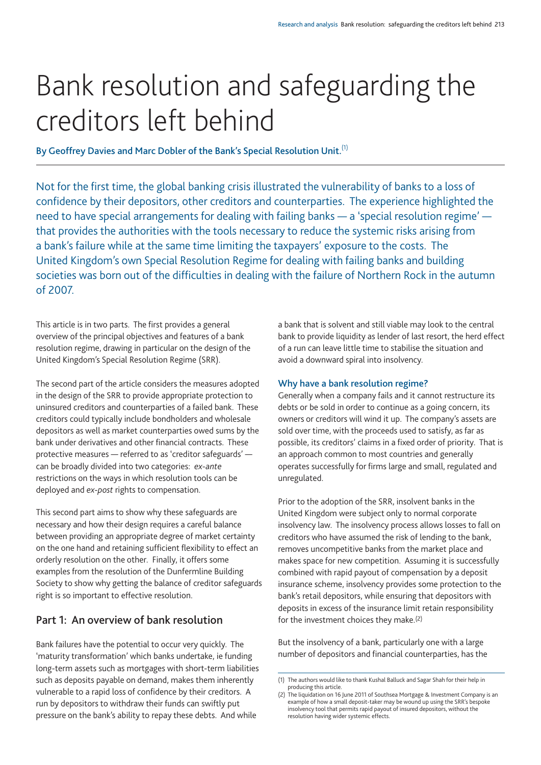# Bank resolution and safeguarding the creditors left behind

**By Geoffrey Davies and Marc Dobler of the Bank's Special Resolution Unit.**(1)

Not for the first time, the global banking crisis illustrated the vulnerability of banks to a loss of confidence by their depositors, other creditors and counterparties. The experience highlighted the need to have special arrangements for dealing with failing banks — a 'special resolution regime' that provides the authorities with the tools necessary to reduce the systemic risks arising from a bank's failure while at the same time limiting the taxpayers' exposure to the costs. The United Kingdom's own Special Resolution Regime for dealing with failing banks and building societies was born out of the difficulties in dealing with the failure of Northern Rock in the autumn of 2007.

This article is in two parts. The first provides a general overview of the principal objectives and features of a bank resolution regime, drawing in particular on the design of the United Kingdom's Special Resolution Regime (SRR).

The second part of the article considers the measures adopted in the design of the SRR to provide appropriate protection to uninsured creditors and counterparties of a failed bank. These creditors could typically include bondholders and wholesale depositors as well as market counterparties owed sums by the bank under derivatives and other financial contracts. These protective measures — referred to as 'creditor safeguards' can be broadly divided into two categories: *ex-ante* restrictions on the ways in which resolution tools can be deployed and *ex-post* rights to compensation.

This second part aims to show why these safeguards are necessary and how their design requires a careful balance between providing an appropriate degree of market certainty on the one hand and retaining sufficient flexibility to effect an orderly resolution on the other. Finally, it offers some examples from the resolution of the Dunfermline Building Society to show why getting the balance of creditor safeguards right is so important to effective resolution.

# **Part 1: An overview of bank resolution**

Bank failures have the potential to occur very quickly. The 'maturity transformation' which banks undertake, ie funding long-term assets such as mortgages with short-term liabilities such as deposits payable on demand, makes them inherently vulnerable to a rapid loss of confidence by their creditors. A run by depositors to withdraw their funds can swiftly put pressure on the bank's ability to repay these debts. And while

a bank that is solvent and still viable may look to the central bank to provide liquidity as lender of last resort, the herd effect of a run can leave little time to stabilise the situation and avoid a downward spiral into insolvency.

## **Why have a bank resolution regime?**

Generally when a company fails and it cannot restructure its debts or be sold in order to continue as a going concern, its owners or creditors will wind it up. The company's assets are sold over time, with the proceeds used to satisfy, as far as possible, its creditors' claims in a fixed order of priority. That is an approach common to most countries and generally operates successfully for firms large and small, regulated and unregulated.

Prior to the adoption of the SRR, insolvent banks in the United Kingdom were subject only to normal corporate insolvency law. The insolvency process allows losses to fall on creditors who have assumed the risk of lending to the bank, removes uncompetitive banks from the market place and makes space for new competition. Assuming it is successfully combined with rapid payout of compensation by a deposit insurance scheme, insolvency provides some protection to the bank's retail depositors, while ensuring that depositors with deposits in excess of the insurance limit retain responsibility for the investment choices they make.(2)

But the insolvency of a bank, particularly one with a large number of depositors and financial counterparties, has the

<sup>(1)</sup> The authors would like to thank Kushal Balluck and Sagar Shah for their help in producing this article.

<sup>(2)</sup> The liquidation on 16 June 2011 of Southsea Mortgage & Investment Company is an example of how a small deposit-taker may be wound up using the SRR's bespoke insolvency tool that permits rapid payout of insured depositors, without the resolution having wider systemic effects.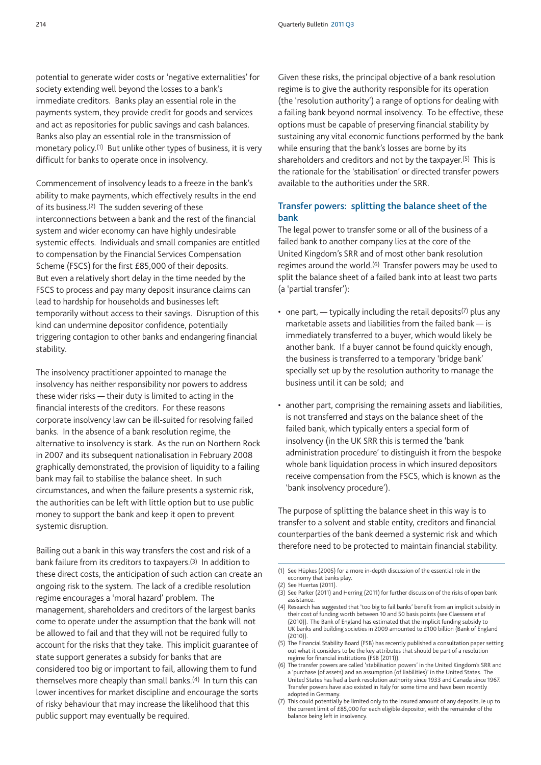potential to generate wider costs or 'negative externalities' for society extending well beyond the losses to a bank's immediate creditors. Banks play an essential role in the payments system, they provide credit for goods and services and act as repositories for public savings and cash balances. Banks also play an essential role in the transmission of monetary policy.<sup>(1)</sup> But unlike other types of business, it is very difficult for banks to operate once in insolvency.

Commencement of insolvency leads to a freeze in the bank's ability to make payments, which effectively results in the end of its business.(2) The sudden severing of these interconnections between a bank and the rest of the financial system and wider economy can have highly undesirable systemic effects. Individuals and small companies are entitled to compensation by the Financial Services Compensation Scheme (FSCS) for the first £85,000 of their deposits. But even a relatively short delay in the time needed by the FSCS to process and pay many deposit insurance claims can lead to hardship for households and businesses left temporarily without access to their savings. Disruption of this kind can undermine depositor confidence, potentially triggering contagion to other banks and endangering financial stability.

The insolvency practitioner appointed to manage the insolvency has neither responsibility nor powers to address these wider risks — their duty is limited to acting in the financial interests of the creditors. For these reasons corporate insolvency law can be ill-suited for resolving failed banks. In the absence of a bank resolution regime, the alternative to insolvency is stark. As the run on Northern Rock in 2007 and its subsequent nationalisation in February 2008 graphically demonstrated, the provision of liquidity to a failing bank may fail to stabilise the balance sheet. In such circumstances, and when the failure presents a systemic risk, the authorities can be left with little option but to use public money to support the bank and keep it open to prevent systemic disruption.

Bailing out a bank in this way transfers the cost and risk of a bank failure from its creditors to taxpayers.(3) In addition to these direct costs, the anticipation of such action can create an ongoing risk to the system. The lack of a credible resolution regime encourages a 'moral hazard' problem. The management, shareholders and creditors of the largest banks come to operate under the assumption that the bank will not be allowed to fail and that they will not be required fully to account for the risks that they take. This implicit guarantee of state support generates a subsidy for banks that are considered too big or important to fail, allowing them to fund themselves more cheaply than small banks.(4) In turn this can lower incentives for market discipline and encourage the sorts of risky behaviour that may increase the likelihood that this public support may eventually be required.

Given these risks, the principal objective of a bank resolution regime is to give the authority responsible for its operation (the 'resolution authority') a range of options for dealing with a failing bank beyond normal insolvency. To be effective, these options must be capable of preserving financial stability by sustaining any vital economic functions performed by the bank while ensuring that the bank's losses are borne by its shareholders and creditors and not by the taxpayer.(5) This is the rationale for the 'stabilisation' or directed transfer powers available to the authorities under the SRR.

## **Transfer powers: splitting the balance sheet of the bank**

The legal power to transfer some or all of the business of a failed bank to another company lies at the core of the United Kingdom's SRR and of most other bank resolution regimes around the world.(6) Transfer powers may be used to split the balance sheet of a failed bank into at least two parts (a 'partial transfer'):

- one part,  $-$  typically including the retail deposits<sup>(7)</sup> plus any marketable assets and liabilities from the failed bank — is immediately transferred to a buyer, which would likely be another bank. If a buyer cannot be found quickly enough, the business is transferred to a temporary 'bridge bank' specially set up by the resolution authority to manage the business until it can be sold; and
- another part, comprising the remaining assets and liabilities, is not transferred and stays on the balance sheet of the failed bank, which typically enters a special form of insolvency (in the UK SRR this is termed the 'bank administration procedure' to distinguish it from the bespoke whole bank liquidation process in which insured depositors receive compensation from the FSCS, which is known as the 'bank insolvency procedure').

The purpose of splitting the balance sheet in this way is to transfer to a solvent and stable entity, creditors and financial counterparties of the bank deemed a systemic risk and which therefore need to be protected to maintain financial stability.

<sup>(1)</sup> See Hüpkes (2005) for a more in-depth discussion of the essential role in the economy that banks play.

<sup>(2)</sup> See Huertas (2011).

<sup>(3)</sup> See Parker (2011) and Herring (2011) for further discussion of the risks of open bank assistance.

<sup>(4)</sup> Research has suggested that 'too big to fail banks' benefit from an implicit subsidy in their cost of funding worth between 10 and 50 basis points (see Claessens *et al* (2010)). The Bank of England has estimated that the implicit funding subsidy to UK banks and building societies in 2009 amounted to £100 billion (Bank of England (2010)).

<sup>(5)</sup> The Financial Stability Board (FSB) has recently published a consultation paper setting out what it considers to be the key attributes that should be part of a resolution regime for financial institutions (FSB (2011)).

<sup>(6)</sup> The transfer powers are called 'stabilisation powers' in the United Kingdom's SRR and a 'purchase (of assets) and an assumption (of liabilities)' in the United States. The United States has had a bank resolution authority since 1933 and Canada since 1967. Transfer powers have also existed in Italy for some time and have been recently adopted in Germany.

<sup>(7)</sup> This could potentially be limited only to the insured amount of any deposits, ie up to the current limit of £85,000 for each eligible depositor, with the remainder of the balance being left in insolvency.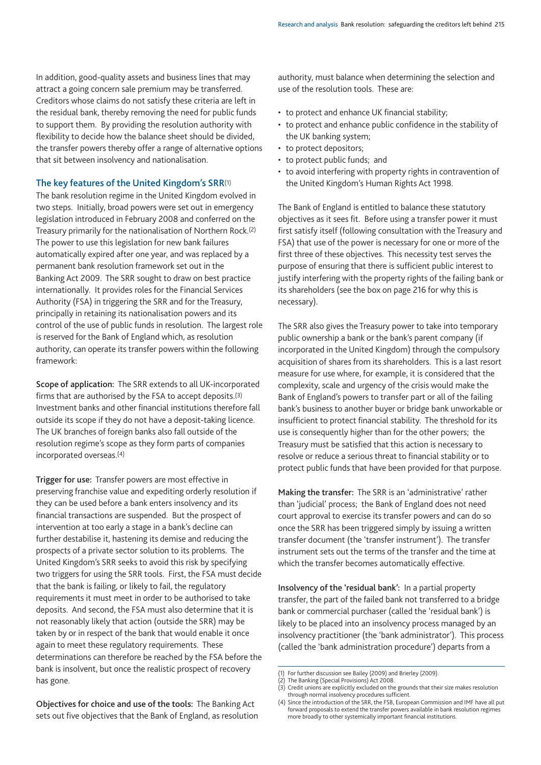In addition, good-quality assets and business lines that may attract a going concern sale premium may be transferred. Creditors whose claims do not satisfy these criteria are left in the residual bank, thereby removing the need for public funds to support them. By providing the resolution authority with flexibility to decide how the balance sheet should be divided, the transfer powers thereby offer a range of alternative options that sit between insolvency and nationalisation.

## **The key features of the United Kingdom's SRR**(1)

The bank resolution regime in the United Kingdom evolved in two steps. Initially, broad powers were set out in emergency legislation introduced in February 2008 and conferred on the Treasury primarily for the nationalisation of Northern Rock.(2) The power to use this legislation for new bank failures automatically expired after one year, and was replaced by a permanent bank resolution framework set out in the Banking Act 2009. The SRR sought to draw on best practice internationally. It provides roles for the Financial Services Authority (FSA) in triggering the SRR and for the Treasury, principally in retaining its nationalisation powers and its control of the use of public funds in resolution. The largest role is reserved for the Bank of England which, as resolution authority, can operate its transfer powers within the following framework:

**Scope of application:** The SRR extends to all UK-incorporated firms that are authorised by the FSA to accept deposits.(3) Investment banks and other financial institutions therefore fall outside its scope if they do not have a deposit-taking licence. The UK branches of foreign banks also fall outside of the resolution regime's scope as they form parts of companies incorporated overseas.(4)

**Trigger for use:** Transfer powers are most effective in preserving franchise value and expediting orderly resolution if they can be used before a bank enters insolvency and its financial transactions are suspended. But the prospect of intervention at too early a stage in a bank's decline can further destabilise it, hastening its demise and reducing the prospects of a private sector solution to its problems. The United Kingdom's SRR seeks to avoid this risk by specifying two triggers for using the SRR tools. First, the FSA must decide that the bank is failing, or likely to fail, the regulatory requirements it must meet in order to be authorised to take deposits. And second, the FSA must also determine that it is not reasonably likely that action (outside the SRR) may be taken by or in respect of the bank that would enable it once again to meet these regulatory requirements. These determinations can therefore be reached by the FSA before the bank is insolvent, but once the realistic prospect of recovery has gone.

authority, must balance when determining the selection and use of the resolution tools. These are:

- to protect and enhance UK financial stability;
- to protect and enhance public confidence in the stability of the UK banking system;
- to protect depositors;
- to protect public funds; and
- to avoid interfering with property rights in contravention of the United Kingdom's Human Rights Act 1998.

The Bank of England is entitled to balance these statutory objectives as it sees fit. Before using a transfer power it must first satisfy itself (following consultation with the Treasury and FSA) that use of the power is necessary for one or more of the first three of these objectives. This necessity test serves the purpose of ensuring that there is sufficient public interest to justify interfering with the property rights of the failing bank or its shareholders (see the box on page 216 for why this is necessary).

The SRR also gives the Treasury power to take into temporary public ownership a bank or the bank's parent company (if incorporated in the United Kingdom) through the compulsory acquisition of shares from its shareholders. This is a last resort measure for use where, for example, it is considered that the complexity, scale and urgency of the crisis would make the Bank of England's powers to transfer part or all of the failing bank's business to another buyer or bridge bank unworkable or insufficient to protect financial stability. The threshold for its use is consequently higher than for the other powers; the Treasury must be satisfied that this action is necessary to resolve or reduce a serious threat to financial stability or to protect public funds that have been provided for that purpose.

**Making the transfer:** The SRR is an 'administrative' rather than 'judicial' process; the Bank of England does not need court approval to exercise its transfer powers and can do so once the SRR has been triggered simply by issuing a written transfer document (the 'transfer instrument'). The transfer instrument sets out the terms of the transfer and the time at which the transfer becomes automatically effective.

**Insolvency of the 'residual bank':** In a partial property transfer, the part of the failed bank not transferred to a bridge bank or commercial purchaser (called the 'residual bank') is likely to be placed into an insolvency process managed by an insolvency practitioner (the 'bank administrator'). This process (called the 'bank administration procedure') departs from a

(2) The Banking (Special Provisions) Act 2008.

**Objectives for choice and use of the tools:** The Banking Act sets out five objectives that the Bank of England, as resolution

<sup>(1)</sup> For further discussion see Bailey (2009) and Brierley (2009).

<sup>(3)</sup> Credit unions are explicitly excluded on the grounds that their size makes resolution through normal insolvency procedures sufficient.

<sup>(4)</sup> Since the introduction of the SRR, the FSB, European Commission and IMF have all put forward proposals to extend the transfer powers available in bank resolution regimes more broadly to other systemically important financial institutions.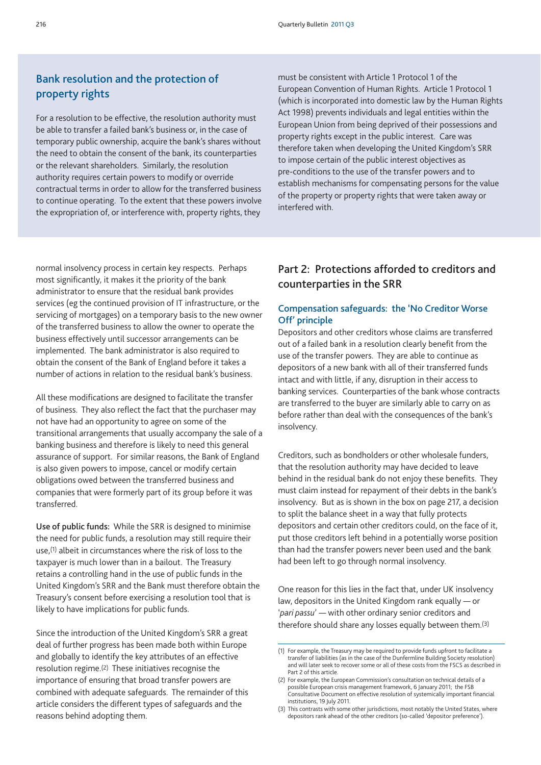# **Bank resolution and the protection of property rights**

For a resolution to be effective, the resolution authority must be able to transfer a failed bank's business or, in the case of temporary public ownership, acquire the bank's shares without the need to obtain the consent of the bank, its counterparties or the relevant shareholders. Similarly, the resolution authority requires certain powers to modify or override contractual terms in order to allow for the transferred business to continue operating. To the extent that these powers involve the expropriation of, or interference with, property rights, they

must be consistent with Article 1 Protocol 1 of the European Convention of Human Rights. Article 1 Protocol 1 (which is incorporated into domestic law by the Human Rights Act 1998) prevents individuals and legal entities within the European Union from being deprived of their possessions and property rights except in the public interest. Care was therefore taken when developing the United Kingdom's SRR to impose certain of the public interest objectives as pre-conditions to the use of the transfer powers and to establish mechanisms for compensating persons for the value of the property or property rights that were taken away or interfered with.

normal insolvency process in certain key respects. Perhaps most significantly, it makes it the priority of the bank administrator to ensure that the residual bank provides services (eg the continued provision of IT infrastructure, or the servicing of mortgages) on a temporary basis to the new owner of the transferred business to allow the owner to operate the business effectively until successor arrangements can be implemented. The bank administrator is also required to obtain the consent of the Bank of England before it takes a number of actions in relation to the residual bank's business.

All these modifications are designed to facilitate the transfer of business. They also reflect the fact that the purchaser may not have had an opportunity to agree on some of the transitional arrangements that usually accompany the sale of a banking business and therefore is likely to need this general assurance of support. For similar reasons, the Bank of England is also given powers to impose, cancel or modify certain obligations owed between the transferred business and companies that were formerly part of its group before it was transferred.

**Use of public funds:** While the SRR is designed to minimise the need for public funds, a resolution may still require their use,(1) albeit in circumstances where the risk of loss to the taxpayer is much lower than in a bailout. The Treasury retains a controlling hand in the use of public funds in the United Kingdom's SRR and the Bank must therefore obtain the Treasury's consent before exercising a resolution tool that is likely to have implications for public funds.

Since the introduction of the United Kingdom's SRR a great deal of further progress has been made both within Europe and globally to identify the key attributes of an effective resolution regime.(2) These initiatives recognise the importance of ensuring that broad transfer powers are combined with adequate safeguards. The remainder of this article considers the different types of safeguards and the reasons behind adopting them.

# **Part 2: Protections afforded to creditors and counterparties in the SRR**

## **Compensation safeguards: the 'No Creditor Worse Off' principle**

Depositors and other creditors whose claims are transferred out of a failed bank in a resolution clearly benefit from the use of the transfer powers. They are able to continue as depositors of a new bank with all of their transferred funds intact and with little, if any, disruption in their access to banking services. Counterparties of the bank whose contracts are transferred to the buyer are similarly able to carry on as before rather than deal with the consequences of the bank's insolvency.

Creditors, such as bondholders or other wholesale funders, that the resolution authority may have decided to leave behind in the residual bank do not enjoy these benefits. They must claim instead for repayment of their debts in the bank's insolvency. But as is shown in the box on page 217, a decision to split the balance sheet in a way that fully protects depositors and certain other creditors could, on the face of it, put those creditors left behind in a potentially worse position than had the transfer powers never been used and the bank had been left to go through normal insolvency.

One reason for this lies in the fact that, under UK insolvency law, depositors in the United Kingdom rank equally — or '*pari passu*' — with other ordinary senior creditors and therefore should share any losses equally between them.(3)

<sup>(1)</sup> For example, the Treasury may be required to provide funds upfront to facilitate a transfer of liabilities (as in the case of the Dunfermline Building Society resolution) and will later seek to recover some or all of these costs from the FSCS as described in Part 2 of this article.

<sup>(2)</sup> For example, the European Commission's consultation on technical details of a possible European crisis management framework, 6 January 2011; the FSB Consultative Document on effective resolution of systemically important financial institutions, 19 July 2011.

<sup>(3)</sup> This contrasts with some other jurisdictions, most notably the United States, where depositors rank ahead of the other creditors (so-called 'depositor preference').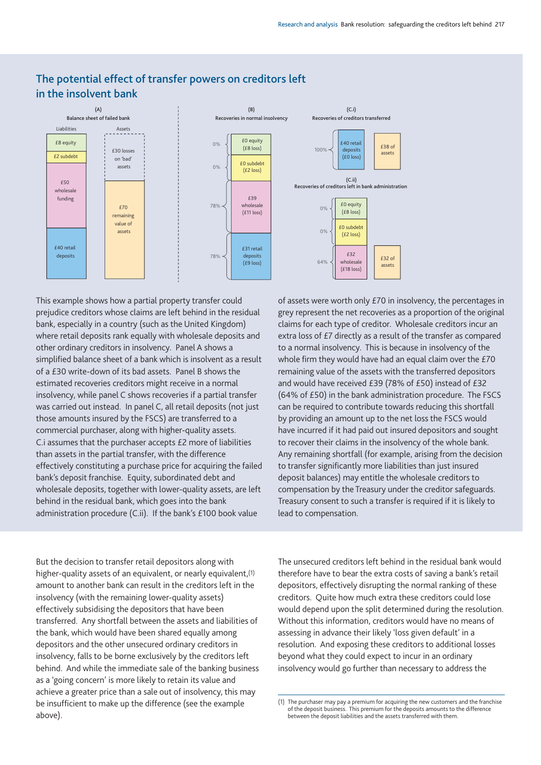

# **The potential effect of transfer powers on creditors left in the insolvent bank**

This example shows how a partial property transfer could prejudice creditors whose claims are left behind in the residual bank, especially in a country (such as the United Kingdom) where retail deposits rank equally with wholesale deposits and other ordinary creditors in insolvency. Panel A shows a simplified balance sheet of a bank which is insolvent as a result of a £30 write-down of its bad assets. Panel B shows the estimated recoveries creditors might receive in a normal insolvency, while panel C shows recoveries if a partial transfer was carried out instead. In panel C, all retail deposits (not just those amounts insured by the FSCS) are transferred to a commercial purchaser, along with higher-quality assets. C.i assumes that the purchaser accepts £2 more of liabilities than assets in the partial transfer, with the difference effectively constituting a purchase price for acquiring the failed bank's deposit franchise. Equity, subordinated debt and wholesale deposits, together with lower-quality assets, are left behind in the residual bank, which goes into the bank administration procedure (C.ii). If the bank's £100 book value

But the decision to transfer retail depositors along with higher-quality assets of an equivalent, or nearly equivalent, (1) amount to another bank can result in the creditors left in the insolvency (with the remaining lower-quality assets) effectively subsidising the depositors that have been transferred. Any shortfall between the assets and liabilities of the bank, which would have been shared equally among depositors and the other unsecured ordinary creditors in insolvency, falls to be borne exclusively by the creditors left behind. And while the immediate sale of the banking business as a 'going concern' is more likely to retain its value and achieve a greater price than a sale out of insolvency, this may be insufficient to make up the difference (see the example above).

of assets were worth only £70 in insolvency, the percentages in grey represent the net recoveries as a proportion of the original claims for each type of creditor. Wholesale creditors incur an extra loss of £7 directly as a result of the transfer as compared to a normal insolvency. This is because in insolvency of the whole firm they would have had an equal claim over the £70 remaining value of the assets with the transferred depositors and would have received £39 (78% of £50) instead of £32 (64% of £50) in the bank administration procedure. The FSCS can be required to contribute towards reducing this shortfall by providing an amount up to the net loss the FSCS would have incurred if it had paid out insured depositors and sought to recover their claims in the insolvency of the whole bank. Any remaining shortfall (for example, arising from the decision to transfer significantly more liabilities than just insured deposit balances) may entitle the wholesale creditors to compensation by the Treasury under the creditor safeguards. Treasury consent to such a transfer is required if it is likely to lead to compensation.

The unsecured creditors left behind in the residual bank would therefore have to bear the extra costs of saving a bank's retail depositors, effectively disrupting the normal ranking of these creditors. Quite how much extra these creditors could lose would depend upon the split determined during the resolution. Without this information, creditors would have no means of assessing in advance their likely 'loss given default' in a resolution. And exposing these creditors to additional losses beyond what they could expect to incur in an ordinary insolvency would go further than necessary to address the

<sup>(1)</sup> The purchaser may pay a premium for acquiring the new customers and the franchise of the deposit business. This premium for the deposits amounts to the difference between the deposit liabilities and the assets transferred with them.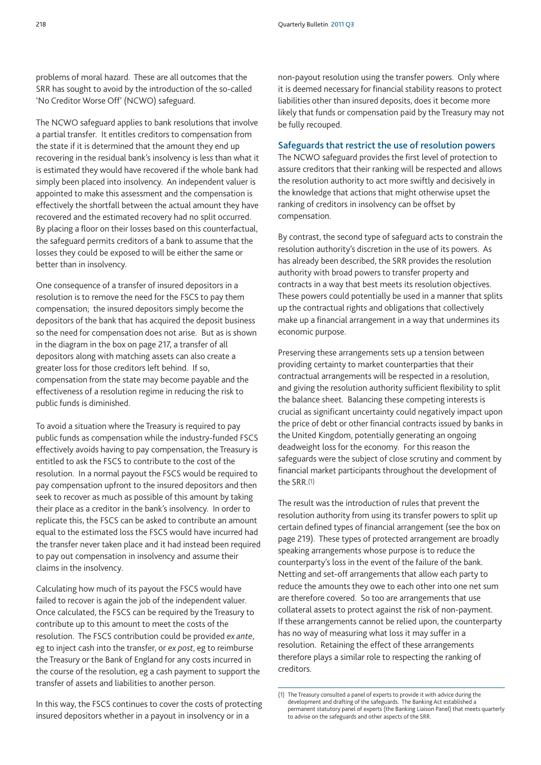problems of moral hazard. These are all outcomes that the SRR has sought to avoid by the introduction of the so-called 'No Creditor Worse Off' (NCWO) safeguard.

The NCWO safeguard applies to bank resolutions that involve a partial transfer. It entitles creditors to compensation from the state if it is determined that the amount they end up recovering in the residual bank's insolvency is less than what it is estimated they would have recovered if the whole bank had simply been placed into insolvency. An independent valuer is appointed to make this assessment and the compensation is effectively the shortfall between the actual amount they have recovered and the estimated recovery had no split occurred. By placing a floor on their losses based on this counterfactual, the safeguard permits creditors of a bank to assume that the losses they could be exposed to will be either the same or better than in insolvency.

One consequence of a transfer of insured depositors in a resolution is to remove the need for the FSCS to pay them compensation; the insured depositors simply become the depositors of the bank that has acquired the deposit business so the need for compensation does not arise. But as is shown in the diagram in the box on page 217, a transfer of all depositors along with matching assets can also create a greater loss for those creditors left behind. If so, compensation from the state may become payable and the effectiveness of a resolution regime in reducing the risk to public funds is diminished.

To avoid a situation where the Treasury is required to pay public funds as compensation while the industry-funded FSCS effectively avoids having to pay compensation, the Treasury is entitled to ask the FSCS to contribute to the cost of the resolution. In a normal payout the FSCS would be required to pay compensation upfront to the insured depositors and then seek to recover as much as possible of this amount by taking their place as a creditor in the bank's insolvency. In order to replicate this, the FSCS can be asked to contribute an amount equal to the estimated loss the FSCS would have incurred had the transfer never taken place and it had instead been required to pay out compensation in insolvency and assume their claims in the insolvency.

Calculating how much of its payout the FSCS would have failed to recover is again the job of the independent valuer. Once calculated, the FSCS can be required by the Treasury to contribute up to this amount to meet the costs of the resolution. The FSCS contribution could be provided *ex ante*, eg to inject cash into the transfer, or *ex post*, eg to reimburse the Treasury or the Bank of England for any costs incurred in the course of the resolution, eg a cash payment to support the transfer of assets and liabilities to another person.

In this way, the FSCS continues to cover the costs of protecting insured depositors whether in a payout in insolvency or in a

non-payout resolution using the transfer powers. Only where it is deemed necessary for financial stability reasons to protect liabilities other than insured deposits, does it become more likely that funds or compensation paid by the Treasury may not be fully recouped.

#### **Safeguards that restrict the use of resolution powers**

The NCWO safeguard provides the first level of protection to assure creditors that their ranking will be respected and allows the resolution authority to act more swiftly and decisively in the knowledge that actions that might otherwise upset the ranking of creditors in insolvency can be offset by compensation.

By contrast, the second type of safeguard acts to constrain the resolution authority's discretion in the use of its powers. As has already been described, the SRR provides the resolution authority with broad powers to transfer property and contracts in a way that best meets its resolution objectives. These powers could potentially be used in a manner that splits up the contractual rights and obligations that collectively make up a financial arrangement in a way that undermines its economic purpose.

Preserving these arrangements sets up a tension between providing certainty to market counterparties that their contractual arrangements will be respected in a resolution, and giving the resolution authority sufficient flexibility to split the balance sheet. Balancing these competing interests is crucial as significant uncertainty could negatively impact upon the price of debt or other financial contracts issued by banks in the United Kingdom, potentially generating an ongoing deadweight loss for the economy. For this reason the safeguards were the subject of close scrutiny and comment by financial market participants throughout the development of the SRR.(1)

The result was the introduction of rules that prevent the resolution authority from using its transfer powers to split up certain defined types of financial arrangement (see the box on page 219). These types of protected arrangement are broadly speaking arrangements whose purpose is to reduce the counterparty's loss in the event of the failure of the bank. Netting and set-off arrangements that allow each party to reduce the amounts they owe to each other into one net sum are therefore covered. So too are arrangements that use collateral assets to protect against the risk of non-payment. If these arrangements cannot be relied upon, the counterparty has no way of measuring what loss it may suffer in a resolution. Retaining the effect of these arrangements therefore plays a similar role to respecting the ranking of creditors.

<sup>(1)</sup> The Treasury consulted a panel of experts to provide it with advice during the development and drafting of the safeguards. The Banking Act established a permanent statutory panel of experts (the Banking Liaison Panel) that meets quarterly to advise on the safeguards and other aspects of the SRR.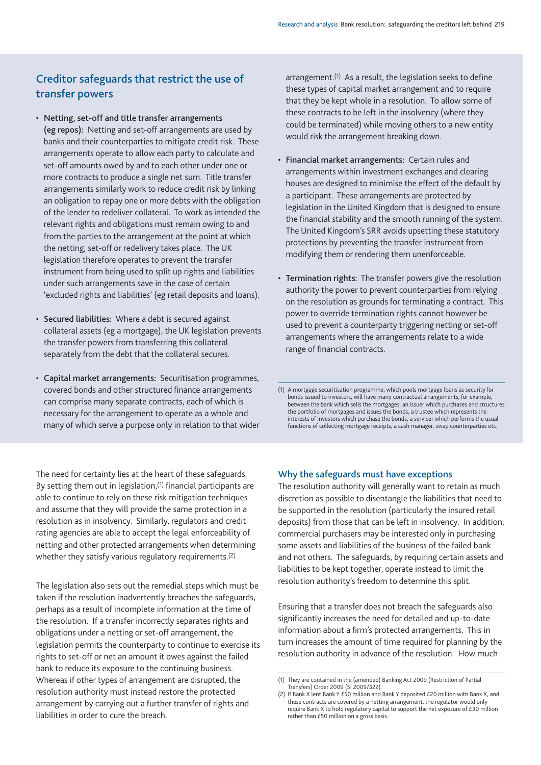# **Creditor safeguards that restrict the use of transfer powers**

- **Netting, set-off and title transfer arrangements (eg repos):** Netting and set-off arrangements are used by banks and their counterparties to mitigate credit risk. These arrangements operate to allow each party to calculate and set-off amounts owed by and to each other under one or more contracts to produce a single net sum. Title transfer arrangements similarly work to reduce credit risk by linking an obligation to repay one or more debts with the obligation of the lender to redeliver collateral. To work as intended the relevant rights and obligations must remain owing to and from the parties to the arrangement at the point at which the netting, set-off or redelivery takes place. The UK legislation therefore operates to prevent the transfer instrument from being used to split up rights and liabilities under such arrangements save in the case of certain 'excluded rights and liabilities' (eg retail deposits and loans).
- **Secured liabilities:** Where a debt is secured against collateral assets (eg a mortgage), the UK legislation prevents the transfer powers from transferring this collateral separately from the debt that the collateral secures.
- **Capital market arrangements:** Securitisation programmes, covered bonds and other structured finance arrangements can comprise many separate contracts, each of which is necessary for the arrangement to operate as a whole and many of which serve a purpose only in relation to that wider

The need for certainty lies at the heart of these safeguards. By setting them out in legislation,<sup>(1)</sup> financial participants are able to continue to rely on these risk mitigation techniques and assume that they will provide the same protection in a resolution as in insolvency. Similarly, regulators and credit rating agencies are able to accept the legal enforceability of netting and other protected arrangements when determining whether they satisfy various regulatory requirements.(2)

The legislation also sets out the remedial steps which must be taken if the resolution inadvertently breaches the safeguards, perhaps as a result of incomplete information at the time of the resolution. If a transfer incorrectly separates rights and obligations under a netting or set-off arrangement, the legislation permits the counterparty to continue to exercise its rights to set-off or net an amount it owes against the failed bank to reduce its exposure to the continuing business. Whereas if other types of arrangement are disrupted, the resolution authority must instead restore the protected arrangement by carrying out a further transfer of rights and liabilities in order to cure the breach.

arrangement.<sup>(1)</sup> As a result, the legislation seeks to define these types of capital market arrangement and to require that they be kept whole in a resolution. To allow some of these contracts to be left in the insolvency (where they could be terminated) while moving others to a new entity would risk the arrangement breaking down.

- **Financial market arrangements:** Certain rules and arrangements within investment exchanges and clearing houses are designed to minimise the effect of the default by a participant. These arrangements are protected by legislation in the United Kingdom that is designed to ensure the financial stability and the smooth running of the system. The United Kingdom's SRR avoids upsetting these statutory protections by preventing the transfer instrument from modifying them or rendering them unenforceable.
- **Termination rights:** The transfer powers give the resolution authority the power to prevent counterparties from relying on the resolution as grounds for terminating a contract. This power to override termination rights cannot however be used to prevent a counterparty triggering netting or set-off arrangements where the arrangements relate to a wide range of financial contracts.

(1) A mortgage securitisation programme, which pools mortgage loans as security for bonds issued to investors, will have many contractual arrangements, for example, between the bank which sells the mortgages, an issuer which purchases and structures the portfolio of mortgages and issues the bonds, a trustee which represents the interests of investors which purchase the bonds, a servicer which performs the usual functions of collecting mortgage receipts, a cash manager, swap counterparties etc.

## **Why the safeguards must have exceptions**

The resolution authority will generally want to retain as much discretion as possible to disentangle the liabilities that need to be supported in the resolution (particularly the insured retail deposits) from those that can be left in insolvency. In addition, commercial purchasers may be interested only in purchasing some assets and liabilities of the business of the failed bank and not others. The safeguards, by requiring certain assets and liabilities to be kept together, operate instead to limit the resolution authority's freedom to determine this split.

Ensuring that a transfer does not breach the safeguards also significantly increases the need for detailed and up-to-date information about a firm's protected arrangements. This in turn increases the amount of time required for planning by the resolution authority in advance of the resolution. How much

<sup>(1)</sup> They are contained in the (amended) Banking Act 2009 (Restriction of Partial Transfers) Order 2009 (SI 2009/322).

<sup>(2)</sup> If Bank X lent Bank Y £50 million and Bank Y deposited £20 million with Bank X, and these contracts are covered by a netting arrangement, the regulator would only require Bank X to hold regulatory capital to support the net exposure of £30 million rather than £50 million on a gross basis.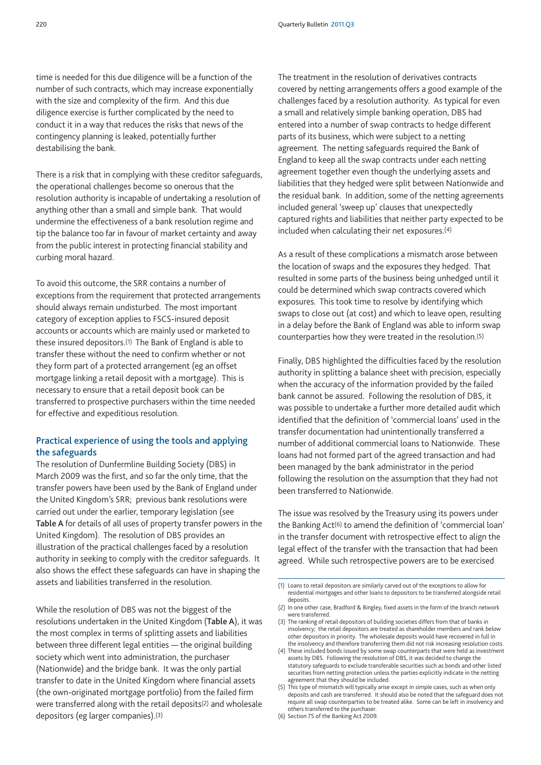time is needed for this due diligence will be a function of the number of such contracts, which may increase exponentially with the size and complexity of the firm. And this due diligence exercise is further complicated by the need to conduct it in a way that reduces the risks that news of the contingency planning is leaked, potentially further destabilising the bank.

There is a risk that in complying with these creditor safeguards, the operational challenges become so onerous that the resolution authority is incapable of undertaking a resolution of anything other than a small and simple bank. That would undermine the effectiveness of a bank resolution regime and tip the balance too far in favour of market certainty and away from the public interest in protecting financial stability and curbing moral hazard.

To avoid this outcome, the SRR contains a number of exceptions from the requirement that protected arrangements should always remain undisturbed. The most important category of exception applies to FSCS-insured deposit accounts or accounts which are mainly used or marketed to these insured depositors.(1) The Bank of England is able to transfer these without the need to confirm whether or not they form part of a protected arrangement (eg an offset mortgage linking a retail deposit with a mortgage). This is necessary to ensure that a retail deposit book can be transferred to prospective purchasers within the time needed for effective and expeditious resolution.

## **Practical experience of using the tools and applying the safeguards**

The resolution of Dunfermline Building Society (DBS) in March 2009 was the first, and so far the only time, that the transfer powers have been used by the Bank of England under the United Kingdom's SRR; previous bank resolutions were carried out under the earlier, temporary legislation (see **Table A** for details of all uses of property transfer powers in the United Kingdom). The resolution of DBS provides an illustration of the practical challenges faced by a resolution authority in seeking to comply with the creditor safeguards. It also shows the effect these safeguards can have in shaping the assets and liabilities transferred in the resolution.

While the resolution of DBS was not the biggest of the resolutions undertaken in the United Kingdom (**Table A**), it was the most complex in terms of splitting assets and liabilities between three different legal entities — the original building society which went into administration, the purchaser (Nationwide) and the bridge bank. It was the only partial transfer to date in the United Kingdom where financial assets (the own-originated mortgage portfolio) from the failed firm were transferred along with the retail deposits(2) and wholesale depositors (eg larger companies).(3)

The treatment in the resolution of derivatives contracts covered by netting arrangements offers a good example of the challenges faced by a resolution authority. As typical for even a small and relatively simple banking operation, DBS had entered into a number of swap contracts to hedge different parts of its business, which were subject to a netting agreement. The netting safeguards required the Bank of England to keep all the swap contracts under each netting agreement together even though the underlying assets and liabilities that they hedged were split between Nationwide and the residual bank. In addition, some of the netting agreements included general 'sweep up' clauses that unexpectedly captured rights and liabilities that neither party expected to be included when calculating their net exposures.(4)

As a result of these complications a mismatch arose between the location of swaps and the exposures they hedged. That resulted in some parts of the business being unhedged until it could be determined which swap contracts covered which exposures. This took time to resolve by identifying which swaps to close out (at cost) and which to leave open, resulting in a delay before the Bank of England was able to inform swap counterparties how they were treated in the resolution.(5)

Finally, DBS highlighted the difficulties faced by the resolution authority in splitting a balance sheet with precision, especially when the accuracy of the information provided by the failed bank cannot be assured. Following the resolution of DBS, it was possible to undertake a further more detailed audit which identified that the definition of 'commercial loans' used in the transfer documentation had unintentionally transferred a number of additional commercial loans to Nationwide. These loans had not formed part of the agreed transaction and had been managed by the bank administrator in the period following the resolution on the assumption that they had not been transferred to Nationwide.

The issue was resolved by the Treasury using its powers under the Banking Act(6) to amend the definition of 'commercial loan' in the transfer document with retrospective effect to align the legal effect of the transfer with the transaction that had been agreed. While such retrospective powers are to be exercised

<sup>(1)</sup> Loans to retail depositors are similarly carved out of the exceptions to allow for residential mortgages and other loans to depositors to be transferred alongside retail deposits.

<sup>(2)</sup> In one other case, Bradford & Bingley, fixed assets in the form of the branch network were transferred

<sup>(3)</sup> The ranking of retail depositors of building societies differs from that of banks in insolvency; the retail depositors are treated as shareholder members and rank below other depositors in priority. The wholesale deposits would have recovered in full in the insolvency and therefore transferring them did not risk increasing resolution costs.

<sup>(4)</sup> These included bonds issued by some swap counterparts that were held as investment assets by DBS. Following the resolution of DBS, it was decided to change the statutory safeguards to exclude transferable securities such as bonds and other listed securities from netting protection unless the parties explicitly indicate in the netting agreement that they should be included.

<sup>(5)</sup> This type of mismatch will typically arise except in simple cases, such as when only deposits and cash are transferred. It should also be noted that the safeguard does not require all swap counterparties to be treated alike. Some can be left in insolvency and others transferred to the purchaser.

<sup>(6)</sup> Section 75 of the Banking Act 2009.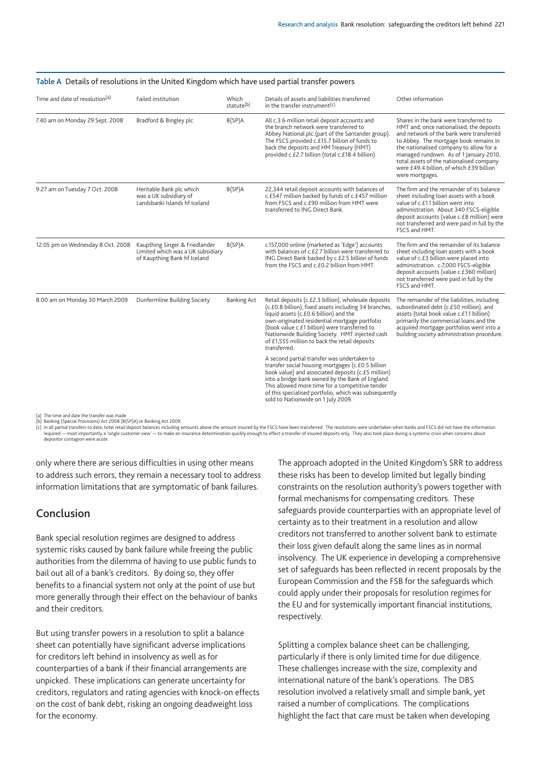| Time and date of resolution <sup>(a)</sup> | Failed institution                                                                                  | Which<br>statute <sup>(b)</sup> | Details of assets and liabilities transferred<br>in the transfer instrument <sup>(c)</sup>                                                                                                                                                                                                                                                                                   | Other information                                                                                                                                                                                                                                                                                                                                                        |
|--------------------------------------------|-----------------------------------------------------------------------------------------------------|---------------------------------|------------------------------------------------------------------------------------------------------------------------------------------------------------------------------------------------------------------------------------------------------------------------------------------------------------------------------------------------------------------------------|--------------------------------------------------------------------------------------------------------------------------------------------------------------------------------------------------------------------------------------------------------------------------------------------------------------------------------------------------------------------------|
| 7.40 am on Monday 29 Sept. 2008            | Bradford & Bingley plc                                                                              | B(SP)A                          | All c.3.6 million retail deposit accounts and<br>the branch network were transferred to<br>Abbey National plc (part of the Santander group)<br>The FSCS provided c.£15.7 billion of funds to<br>back the deposits and HM Treasury (HMT)<br>provided c.£2.7 billion (total c.£18.4 billion).                                                                                  | Shares in the bank were transferred to<br>HMT and, once nationalised, the deposits<br>and network of the bank were transferred<br>to Abbey. The mortgage book remains in<br>the nationalised company to allow for a<br>managed rundown. As of 1 January 2010,<br>total assets of the nationalised company<br>were £49.4 billion, of which £39 billion<br>were mortgages. |
| 9.27 am on Tuesday 7 Oct. 2008             | Heritable Bank plc which<br>was a UK subsidiary of<br>Landsbanki Islands hf Iceland                 | B(SP)A                          | 22,344 retail deposit accounts with balances of<br>c.£547 million backed by funds of c.£457 million<br>from FSCS and c.£90 million from HMT were<br>transferred to ING Direct Bank.                                                                                                                                                                                          | The firm and the remainder of its balance<br>sheet including loan assets with a book<br>value of c.£1.1 billion went into<br>administration. About 340 FSCS-eligible<br>deposit accounts (value c.£8 million) were<br>not transferred and were paid in full by the<br>FSCS and HMT.                                                                                      |
| 12.05 pm on Wednesday 8 Oct. 2008          | Kaupthing Singer & Friedlander<br>Limited which was a UK subsidiary<br>of Kaupthing Bank hf Iceland | B(SP)A                          | c.157,000 online (marketed as 'Edge') accounts<br>with balances of c.£2.7 billion were transferred to<br>ING Direct Bank backed by c.£2.5 billion of funds<br>from the FSCS and c.£0.2 billion from HMT.                                                                                                                                                                     | The firm and the remainder of its balance<br>sheet including loan assets with a book<br>value of c.£3 billion were placed into<br>administration. c.7,000 FSCS-eligible<br>deposit accounts (value c.£360 million)<br>not transferred were paid in full by the<br>FSCS and HMT.                                                                                          |
| 8.00 am on Monday 30 March 2009            | Dunfermline Building Society                                                                        | <b>Banking Act</b>              | Retail deposits (c.£2.3 billion), wholesale deposits<br>(c.£0.8 billion), fixed assets including 34 branches,<br>liquid assets (c.£0.6 billion) and the<br>own-originated residential mortgage portfolio<br>(book value c.£1 billion) were transferred to<br>Nationwide Building Society. HMT injected cash<br>of £1,555 million to back the retail deposits<br>transferred. | The remainder of the liabilities, including<br>subordinated debt (c.£50 million), and<br>assets (total book value c.£1.1 billion)<br>primarily the commercial loans and the<br>acquired mortgage portfolios went into a<br>building society administration procedure.                                                                                                    |
|                                            |                                                                                                     |                                 | A second partial transfer was undertaken to<br>transfer social housing mortgages (c.£0.5 billion<br>book value) and associated deposits (c.£5 million)<br>into a bridge bank owned by the Bank of England.<br>This allowed more time for a competitive tender<br>of this specialised portfolio, which was subsequently<br>sold to Nationwide on 1 July 2009.                 |                                                                                                                                                                                                                                                                                                                                                                          |

#### **Table A** Details of resolutions in the United Kingdom which have used partial transfer powers

(a) The time and date the transfer was made. (b) Banking (Special Provisions) Act 2008 (B(SP)A) or Banking Act 2009.

(c) In all partial transfers to date, total retail deposit balances including amounts above the amount insured by the FSCS have been transferred. The resolutions were undertaken when banks and FSCS did not have the informa depositor contagion were acute.

only where there are serious difficulties in using other means to address such errors, they remain a necessary tool to address information limitations that are symptomatic of bank failures.

## **Conclusion**

Bank special resolution regimes are designed to address systemic risks caused by bank failure while freeing the public authorities from the dilemma of having to use public funds to bail out all of a bank's creditors. By doing so, they offer benefits to a financial system not only at the point of use but more generally through their effect on the behaviour of banks and their creditors.

But using transfer powers in a resolution to split a balance sheet can potentially have significant adverse implications for creditors left behind in insolvency as well as for counterparties of a bank if their financial arrangements are unpicked. These implications can generate uncertainty for creditors, regulators and rating agencies with knock-on effects on the cost of bank debt, risking an ongoing deadweight loss for the economy.

The approach adopted in the United Kingdom's SRR to address these risks has been to develop limited but legally binding constraints on the resolution authority's powers together with formal mechanisms for compensating creditors. These safeguards provide counterparties with an appropriate level of certainty as to their treatment in a resolution and allow creditors not transferred to another solvent bank to estimate their loss given default along the same lines as in normal insolvency. The UK experience in developing a comprehensive set of safeguards has been reflected in recent proposals by the European Commission and the FSB for the safeguards which could apply under their proposals for resolution regimes for the EU and for systemically important financial institutions, respectively.

Splitting a complex balance sheet can be challenging, particularly if there is only limited time for due diligence. These challenges increase with the size, complexity and international nature of the bank's operations. The DBS resolution involved a relatively small and simple bank, yet raised a number of complications. The complications highlight the fact that care must be taken when developing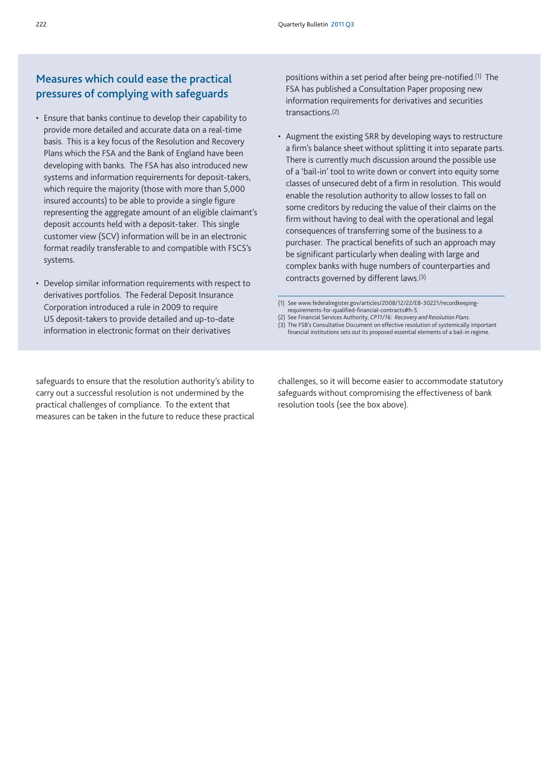# **Measures which could ease the practical pressures of complying with safeguards**

- Ensure that banks continue to develop their capability to provide more detailed and accurate data on a real-time basis. This is a key focus of the Resolution and Recovery Plans which the FSA and the Bank of England have been developing with banks. The FSA has also introduced new systems and information requirements for deposit-takers, which require the majority (those with more than 5,000 insured accounts) to be able to provide a single figure representing the aggregate amount of an eligible claimant's deposit accounts held with a deposit-taker. This single customer view (SCV) information will be in an electronic format readily transferable to and compatible with FSCS's systems.
- Develop similar information requirements with respect to derivatives portfolios. The Federal Deposit Insurance Corporation introduced a rule in 2009 to require US deposit-takers to provide detailed and up-to-date information in electronic format on their derivatives

positions within a set period after being pre-notified.(1) The FSA has published a Consultation Paper proposing new information requirements for derivatives and securities transactions.(2)

• Augment the existing SRR by developing ways to restructure a firm's balance sheet without splitting it into separate parts. There is currently much discussion around the possible use of a 'bail-in' tool to write down or convert into equity some classes of unsecured debt of a firm in resolution. This would enable the resolution authority to allow losses to fall on some creditors by reducing the value of their claims on the firm without having to deal with the operational and legal consequences of transferring some of the business to a purchaser. The practical benefits of such an approach may be significant particularly when dealing with large and complex banks with huge numbers of counterparties and contracts governed by different laws.(3)

- (2) See Financial Services Authority, *CP11/16: Recovery and Resolution Plans*.
- (3) The FSB's Consultative Document on effective resolution of systemically important financial institutions sets out its proposed essential elements of a bail-in regime.

safeguards to ensure that the resolution authority's ability to carry out a successful resolution is not undermined by the practical challenges of compliance. To the extent that measures can be taken in the future to reduce these practical

challenges, so it will become easier to accommodate statutory safeguards without compromising the effectiveness of bank resolution tools (see the box above).

<sup>(1)</sup> See www.federalregister.gov/articles/2008/12/22/E8-30221/recordkeepingrequirements-for-qualified-financial-contracts#h-5.